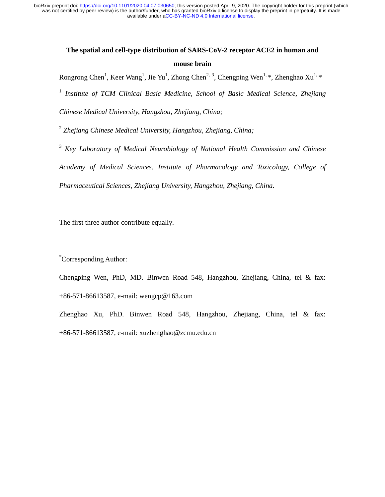# **The spatial and cell-type distribution of SARS-CoV-2 receptor ACE2 in human and mouse brain**

Rongrong Chen<sup>1</sup>, Keer Wang<sup>1</sup>, Jie Yu<sup>1</sup>, Zhong Chen<sup>2, 3</sup>, Chengping Wen<sup>1,</sup> \*, Zhenghao Xu<sup>1, \*</sup>

<sup>1</sup> *Institute of TCM Clinical Basic Medicine, School of Basic Medical Science, Zhejiang* 

*Chinese Medical University, Hangzhou, Zhejiang, China;* 

<sup>2</sup> *Zhejiang Chinese Medical University, Hangzhou, Zhejiang, China;* 

<sup>3</sup> *Key Laboratory of Medical Neurobiology of National Health Commission and Chinese Academy of Medical Sciences, Institute of Pharmacology and Toxicology, College of Pharmaceutical Sciences, Zhejiang University, Hangzhou, Zhejiang, China.*

The first three author contribute equally.

\* Corresponding Author:

Chengping Wen, PhD, MD. Binwen Road 548, Hangzhou, Zhejiang, China, tel & fax: +86-571-86613587, e-mail: wengcp@163.com

Zhenghao Xu, PhD. Binwen Road 548, Hangzhou, Zhejiang, China, tel & fax: +86-571-86613587, e-mail: xuzhenghao@zcmu.edu.cn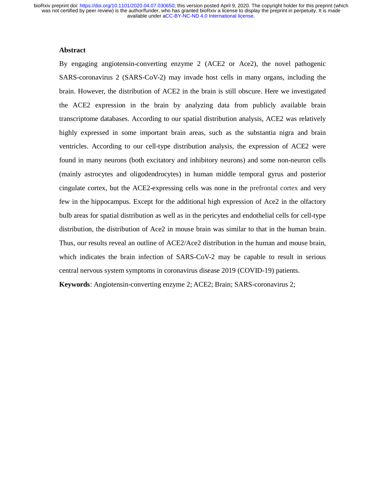## **Abstract**

By engaging angiotensin-converting enzyme 2 (ACE2 or Ace2), the novel pathogenic SARS-coronavirus 2 (SARS-CoV-2) may invade host cells in many organs, including the brain. However, the distribution of ACE2 in the brain is still obscure. Here we investigated the ACE2 expression in the brain by analyzing data from publicly available brain transcriptome databases. According to our spatial distribution analysis, ACE2 was relatively highly expressed in some important brain areas, such as the substantia nigra and brain ventricles. According to our cell-type distribution analysis, the expression of ACE2 were found in many neurons (both excitatory and inhibitory neurons) and some non-neuron cells (mainly astrocytes and oligodendrocytes) in human middle temporal gyrus and posterior cingulate cortex, but the ACE2-expressing cells was none in the prefrontal cortex and very few in the hippocampus. Except for the additional high expression of Ace2 in the olfactory bulb areas for spatial distribution as well as in the pericytes and endothelial cells for cell-type distribution, the distribution of Ace2 in mouse brain was similar to that in the human brain. Thus, our results reveal an outline of ACE2/Ace2 distribution in the human and mouse brain, which indicates the brain infection of SARS-CoV-2 may be capable to result in serious central nervous system symptoms in coronavirus disease 2019 (COVID-19) patients.

**Keywords**: Angiotensin-converting enzyme 2; ACE2; Brain; SARS-coronavirus 2;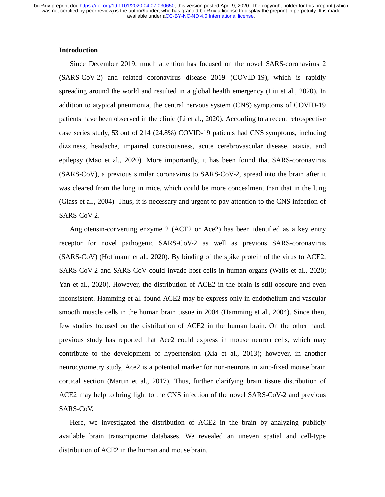## **Introduction**

Since December 2019, much attention has focused on the novel SARS-coronavirus 2 (SARS-CoV-2) and related coronavirus disease 2019 (COVID-19), which is rapidly spreading around the world and resulted in a global health emergency (Liu et al., 2020). In addition to atypical pneumonia, the central nervous system (CNS) symptoms of COVID-19 patients have been observed in the clinic (Li et al., 2020). According to a recent retrospective case series study, 53 out of 214 (24.8%) COVID-19 patients had CNS symptoms, including dizziness, headache, impaired consciousness, acute cerebrovascular disease, ataxia, and epilepsy (Mao et al., 2020). More importantly, it has been found that SARS-coronavirus (SARS-CoV), a previous similar coronavirus to SARS-CoV-2, spread into the brain after it was cleared from the lung in mice, which could be more concealment than that in the lung (Glass et al., 2004). Thus, it is necessary and urgent to pay attention to the CNS infection of SARS-CoV-2.

Angiotensin-converting enzyme 2 (ACE2 or Ace2) has been identified as a key entry receptor for novel pathogenic SARS-CoV-2 as well as previous SARS-coronavirus (SARS-CoV) (Hoffmann et al., 2020). By binding of the spike protein of the virus to ACE2, SARS-CoV-2 and SARS-CoV could invade host cells in human organs (Walls et al., 2020; Yan et al., 2020). However, the distribution of ACE2 in the brain is still obscure and even inconsistent. Hamming et al. found ACE2 may be express only in endothelium and vascular smooth muscle cells in the human brain tissue in 2004 (Hamming et al., 2004). Since then, few studies focused on the distribution of ACE2 in the human brain. On the other hand, previous study has reported that Ace2 could express in mouse neuron cells, which may contribute to the development of hypertension (Xia et al., 2013); however, in another neurocytometry study, Ace2 is a potential marker for non-neurons in zinc-fixed mouse brain cortical section (Martin et al., 2017). Thus, further clarifying brain tissue distribution of ACE2 may help to bring light to the CNS infection of the novel SARS-CoV-2 and previous SARS-CoV.

Here, we investigated the distribution of ACE2 in the brain by analyzing publicly available brain transcriptome databases. We revealed an uneven spatial and cell-type distribution of ACE2 in the human and mouse brain.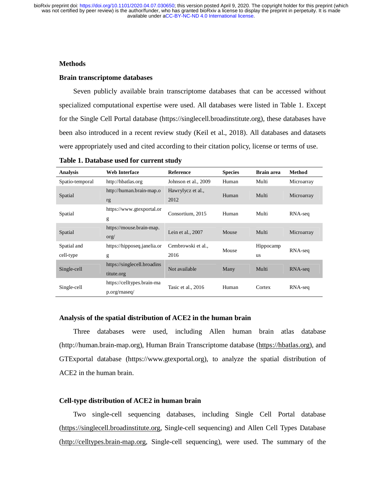#### **Methods**

#### **Brain transcriptome databases**

Seven publicly available brain transcriptome databases that can be accessed without specialized computational expertise were used. All databases were listed in Table 1. Except for the Single Cell Portal database (https://singlecell.broadinstitute.org), these databases have been also introduced in a recent review study (Keil et al., 2018). All databases and datasets were appropriately used and cited according to their citation policy, license or terms of use.

**Table 1. Database used for current study** 

| <b>Analysis</b> | <b>Web Interface</b>                        | Reference                 | <b>Species</b> | <b>Brain area</b> | Method     |
|-----------------|---------------------------------------------|---------------------------|----------------|-------------------|------------|
| Spatio-temporal | http://hbatlas.org                          | Johnson et al., 2009      | Human          | Multi             | Microarray |
| Spatial         | http://human.brain-map.o<br>rg              | Hawrylycz et al.,<br>2012 | Human          | Multi             | Microarray |
| Spatial         | https://www.gtexportal.or<br>g              | Consortium, 2015          | Human          | Multi             | RNA-seq    |
| Spatial         | https://mouse.brain-map.<br>$\text{org}/$   | Lein et al., 2007         | Mouse          | Multi             | Microarray |
| Spatial and     | https://hipposeq.janelia.or                 | Cembrowski et al.,        | Mouse          | Hippocamp         | RNA-seq    |
| cell-type       | g                                           | 2016                      |                | <b>us</b>         |            |
| Single-cell     | https://singlecell.broadins<br>titute.org   | Not available             | Many           | Multi             | RNA-seq    |
| Single-cell     | https://celltypes.brain-ma<br>p.org/rnaseq/ | Tasic et al., 2016        | Human          | Cortex            | RNA-seq    |

## **Analysis of the spatial distribution of ACE2 in the human brain**

Three databases were used, including Allen human brain atlas database (http://human.brain-map.org), Human Brain Transcriptome database (https://hbatlas.org), and GTExportal database (https://www.gtexportal.org), to analyze the spatial distribution of ACE2 in the human brain.

## **Cell-type distribution of ACE2 in human brain**

Two single-cell sequencing databases, including Single Cell Portal database (https://singlecell.broadinstitute.org, Single-cell sequencing) and Allen Cell Types Database (http://celltypes.brain-map.org, Single-cell sequencing), were used. The summary of the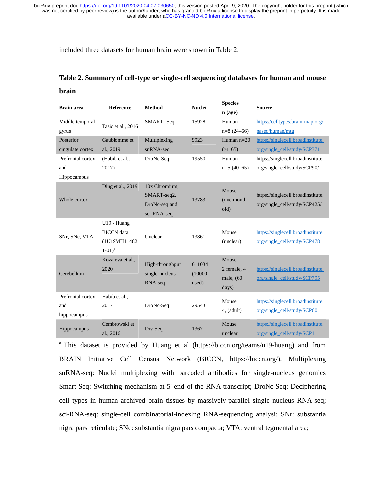included three datasets for human brain were shown in Table 2.

## **Table 2. Summary of cell-type or single-cell sequencing databases for human and mouse**

| . .<br>v | . . |
|----------|-----|
|          |     |

| <b>Brain</b> area                       | Reference                                                      | <b>Method</b>                                                | <b>Nuclei</b>              | <b>Species</b><br>$n$ (age)                | <b>Source</b>                                                       |
|-----------------------------------------|----------------------------------------------------------------|--------------------------------------------------------------|----------------------------|--------------------------------------------|---------------------------------------------------------------------|
| Middle temporal<br>gyrus                | Tasic et al., 2016                                             | SMART-Seq                                                    | 15928                      | Human<br>$n=8(24-66)$                      | https://celltypes.brain-map.org/r<br>naseq/human/mtg                |
| Posterior<br>cingulate cortex           | Gaublomme et<br>al., 2019                                      | Multiplexing<br>$snRNA-seq$                                  | 9923                       | Human $n=20$<br>$(>\square 65)$            | https://singlecell.broadinstitute.<br>org/single_cell/study/SCP371  |
| Prefrontal cortex<br>and<br>Hippocampus | (Habib et al.,<br>2017)                                        | DroNc-Seq                                                    | 19550                      | Human<br>$n=5(40-65)$                      | https://singlecell.broadinstitute.<br>org/single_cell/study/SCP90/  |
| Whole cortex                            | Ding et al., 2019                                              | 10x Chromium.<br>SMART-seq2,<br>DroNc-seq and<br>sci-RNA-seq | 13783                      | Mouse<br>(one month<br>old)                | https://singlecell.broadinstitute.<br>org/single_cell/study/SCP425/ |
| SNr, SNc, VTA                           | U19 - Huang<br><b>BICCN</b> data<br>(1U19MH11482)<br>$1-01)^a$ | Unclear                                                      | 13861                      | Mouse<br>(unclear)                         | https://singlecell.broadinstitute.<br>org/single_cell/study/SCP478  |
| Cerebellum                              | Kozareva et al.,<br>2020                                       | High-throughput<br>single-nucleus<br>RNA-seq                 | 611034<br>(10000)<br>used) | Mouse<br>2 female, 4<br>male, (60<br>days) | https://singlecell.broadinstitute.<br>org/single_cell/study/SCP795  |
| Prefrontal cortex<br>and<br>hippocampus | Habib et al.,<br>2017                                          | DroNc-Seq                                                    | 29543                      | Mouse<br>4, (adult)                        | https://singlecell.broadinstitute.<br>org/single_cell/study/SCP60   |
| Hippocampus                             | Cembrowski et<br>al., 2016                                     | Div-Seq                                                      | 1367                       | Mouse<br>unclear                           | https://singlecell.broadinstitute.<br>org/single_cell/study/SCP1    |

<sup>a</sup> This dataset is provided by Huang et al (https://biccn.org/teams/u19-huang) and from BRAIN Initiative Cell Census Network (BICCN, https://biccn.org/). Multiplexing snRNA-seq: Nuclei multiplexing with barcoded antibodies for single-nucleus genomics Smart-Seq: Switching mechanism at 5' end of the RNA transcript; DroNc-Seq: Deciphering cell types in human archived brain tissues by massively-parallel single nucleus RNA-seq; sci-RNA-seq: single-cell combinatorial-indexing RNA-sequencing analysi; SNr: substantia nigra pars reticulate; SNc: substantia nigra pars compacta; VTA: ventral tegmental area;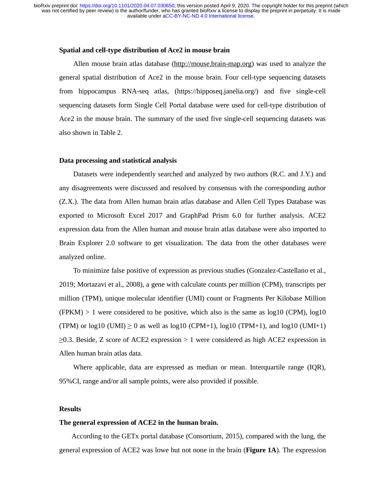#### **Spatial and cell-type distribution of Ace2 in mouse brain**

Allen mouse brain atlas database (http://mouse.brain-map.org) was used to analyze the general spatial distribution of Ace2 in the mouse brain. Four cell-type sequencing datasets from hippocampus RNA-seq atlas, (https://hipposeq.janelia.org/) and five single-cell sequencing datasets form Single Cell Portal database were used for cell-type distribution of Ace2 in the mouse brain. The summary of the used five single-cell sequencing datasets was also shown in Table 2.

#### **Data processing and statistical analysis**

Datasets were independently searched and analyzed by two authors (R.C. and J.Y.) and any disagreements were discussed and resolved by consensus with the corresponding author (Z.X.). The data from Allen human brain atlas database and Allen Cell Types Database was exported to Microsoft Excel 2017 and GraphPad Prism 6.0 for further analysis. ACE2 expression data from the Allen human and mouse brain atlas database were also imported to Brain Explorer 2.0 software to get visualization. The data from the other databases were analyzed online.

To minimize false positive of expression as previous studies (Gonzalez-Castellano et al., 2019; Mortazavi et al., 2008), a gene with calculate counts per million (CPM), transcripts per million (TPM), unique molecular identifier (UMI) count or Fragments Per Kilobase Million  $(FPKM) > 1$  were considered to be positive, which also is the same as  $log10$  (CPM),  $log10$ (TPM) or log10 (UMI)  $\geq 0$  as well as log10 (CPM+1), log10 (TPM+1), and log10 (UMI+1)  $\geq 0.3$ . Beside, Z score of ACE2 expression  $> 1$  were considered as high ACE2 expression in Allen human brain atlas data.

Where applicable, data are expressed as median or mean. Interquartile range (IQR), 95%CI, range and/or all sample points, were also provided if possible.

#### **Results**

#### **The general expression of ACE2 in the human brain.**

According to the GETx portal database (Consortium, 2015), compared with the lung, the general expression of ACE2 was lowe but not none in the brain (**Figure 1A**). The expression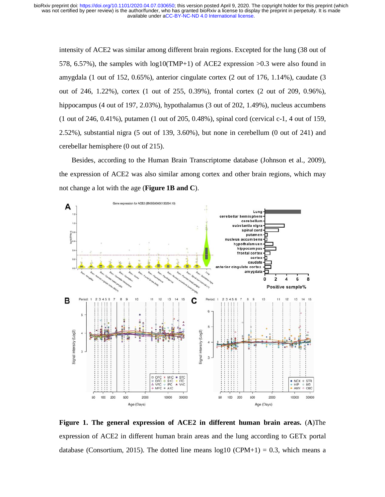intensity of ACE2 was similar among different brain regions. Excepted for the lung (38 out of 578, 6.57%), the samples with log10(TMP+1) of ACE2 expression >0.3 were also found in amygdala (1 out of 152, 0.65%), anterior cingulate cortex (2 out of 176, 1.14%), caudate (3 out of 246, 1.22%), cortex (1 out of 255, 0.39%), frontal cortex (2 out of 209, 0.96%), hippocampus (4 out of 197, 2.03%), hypothalamus (3 out of 202, 1.49%), nucleus accumbens (1 out of 246, 0.41%), putamen (1 out of 205, 0.48%), spinal cord (cervical c-1, 4 out of 159, 2.52%), substantial nigra (5 out of 139, 3.60%), but none in cerebellum (0 out of 241) and cerebellar hemisphere (0 out of 215).

Besides, according to the Human Brain Transcriptome database (Johnson et al., 2009), the expression of ACE2 was also similar among cortex and other brain regions, which may not change a lot with the age (**Figure 1B and C**).



**Figure 1. The general expression of ACE2 in different human brain areas.** (**A**)The expression of ACE2 in different human brain areas and the lung according to GETx portal database (Consortium, 2015). The dotted line means  $log10$  (CPM+1) = 0.3, which means a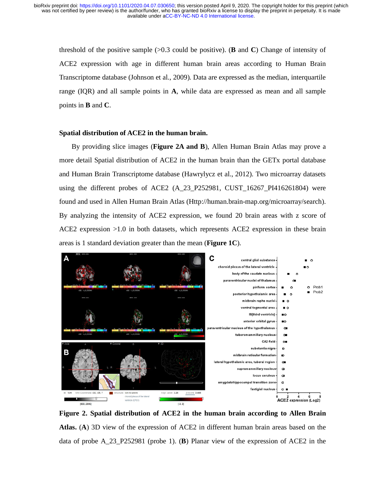threshold of the positive sample (>0.3 could be positive). (**B** and **C**) Change of intensity of ACE2 expression with age in different human brain areas according to Human Brain Transcriptome database (Johnson et al., 2009). Data are expressed as the median, interquartile range (IQR) and all sample points in **A**, while data are expressed as mean and all sample points in **B** and **C**.

## **Spatial distribution of ACE2 in the human brain.**

By providing slice images (**Figure 2A and B**), Allen Human Brain Atlas may prove a more detail Spatial distribution of ACE2 in the human brain than the GETx portal database and Human Brain Transcriptome database (Hawrylycz et al., 2012). Two microarray datasets using the different probes of ACE2 (A\_23\_P252981, CUST\_16267\_PI416261804) were found and used in Allen Human Brain Atlas (Http://human.brain-map.org/microarray/search). By analyzing the intensity of ACE2 expression, we found 20 brain areas with z score of ACE2 expression >1.0 in both datasets, which represents ACE2 expression in these brain areas is 1 standard deviation greater than the mean (**Figure 1C**).



**Figure 2. Spatial distribution of ACE2 in the human brain according to Allen Brain Atlas.** (**A**) 3D view of the expression of ACE2 in different human brain areas based on the data of probe A\_23\_P252981 (probe 1). (**B**) Planar view of the expression of ACE2 in the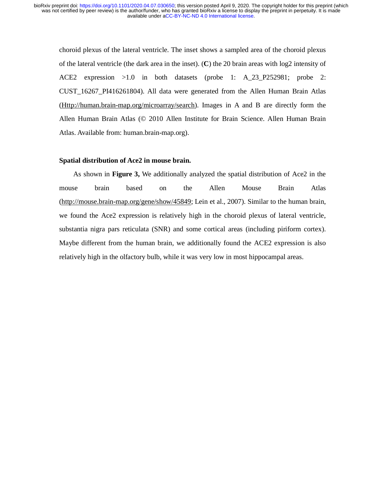choroid plexus of the lateral ventricle. The inset shows a sampled area of the choroid plexus of the lateral ventricle (the dark area in the inset). (**C**) the 20 brain areas with log2 intensity of ACE2 expression >1.0 in both datasets (probe 1: A\_23\_P252981; probe 2: CUST\_16267\_PI416261804). All data were generated from the Allen Human Brain Atlas (Http://human.brain-map.org/microarray/search). Images in A and B are directly form the Allen Human Brain Atlas (© 2010 Allen Institute for Brain Science. Allen Human Brain Atlas. Available from: human.brain-map.org).

#### **Spatial distribution of Ace2 in mouse brain.**

As shown in **Figure 3,** We additionally analyzed the spatial distribution of Ace2 in the mouse brain based on the Allen Mouse Brain Atlas (http://mouse.brain-map.org/gene/show/45849; Lein et al., 2007). Similar to the human brain, we found the Ace2 expression is relatively high in the choroid plexus of lateral ventricle, substantia nigra pars reticulata (SNR) and some cortical areas (including piriform cortex). Maybe different from the human brain, we additionally found the ACE2 expression is also relatively high in the olfactory bulb, while it was very low in most hippocampal areas.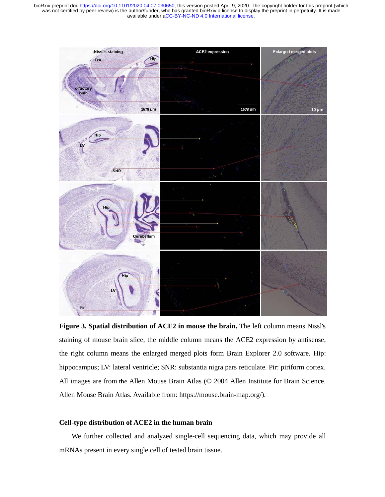

**Figure 3. Spatial distribution of ACE2 in mouse the brain.** The left column means Nissl's staining of mouse brain slice, the middle column means the ACE2 expression by antisense, the right column means the enlarged merged plots form Brain Explorer 2.0 software. Hip: hippocampus; LV: lateral ventricle; SNR: substantia nigra pars reticulate. Pir: piriform cortex. All images are from the Allen Mouse Brain Atlas (© 2004 Allen Institute for Brain Science. Allen Mouse Brain Atlas. Available from: https://mouse.brain-map.org/).

## **Cell-type distribution of ACE2 in the human brain**

We further collected and analyzed single-cell sequencing data, which may provide all mRNAs present in every single cell of tested brain tissue.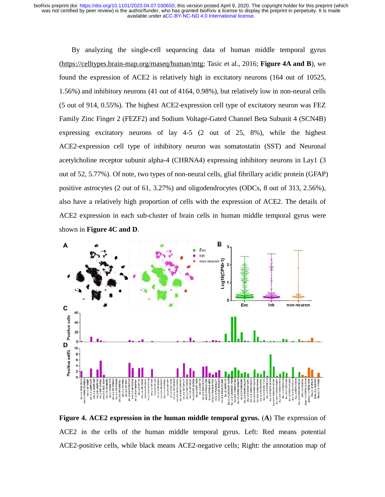By analyzing the single-cell sequencing data of human middle temporal gyrus (https://celltypes.brain-map.org/rnaseq/human/mtg; Tasic et al., 2016; **Figure 4A and B**), we found the expression of ACE2 is relatively high in excitatory neurons (164 out of 10525, 1.56%) and inhibitory neurons (41 out of 4164, 0.98%), but relatively low in non-neural cells (5 out of 914, 0.55%). The highest ACE2-expression cell type of excitatory neuron was FEZ Family Zinc Finger 2 (FEZF2) and Sodium Voltage-Gated Channel Beta Subunit 4 (SCN4B) expressing excitatory neurons of lay 4-5 (2 out of 25, 8%), while the highest ACE2-expression cell type of inhibitory neuron was somatostatin (SST) and Neuronal acetylcholine receptor subunit alpha-4 (CHRNA4) expressing inhibitory neurons in Lay1 (3 out of 52, 5.77%). Of note, two types of non-neural cells, glial fibrillary acidic protein (GFAP) positive astrocytes (2 out of 61, 3.27%) and oligodendrocytes (ODCs, 8 out of 313, 2.56%), also have a relatively high proportion of cells with the expression of ACE2. The details of ACE2 expression in each sub-cluster of brain cells in human middle temporal gyrus were shown in **Figure 4C and D**.



**Figure 4. ACE2 expression in the human middle temporal gyrus.** (**A**) The expression of ACE2 in the cells of the human middle temporal gyrus. Left: Red means potential ACE2-positive cells, while black means ACE2-negative cells; Right: the annotation map of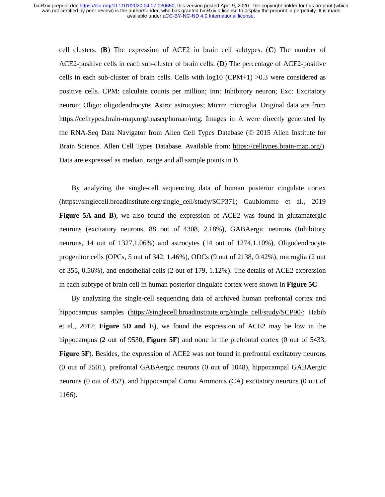cell clusters. (**B**) The expression of ACE2 in brain cell subtypes. (**C**) The number of ACE2-positive cells in each sub-cluster of brain cells. (**D**) The percentage of ACE2-positive cells in each sub-cluster of brain cells. Cells with  $log10$  (CPM+1)  $>0.3$  were considered as positive cells. CPM: calculate counts per million; Inn: Inhibitory neuron; Exc: Excitatory neuron; Oligo: oligodendrocyte; Astro: astrocytes; Micro: microglia. Original data are from https://celltypes.brain-map.org/rnaseq/human/mtg. Images in A were directly generated by the RNA-Seq Data Navigator from Allen Cell Types Database (© 2015 Allen Institute for Brain Science. Allen Cell Types Database. Available from: https://celltypes.brain-map.org/). Data are expressed as median, range and all sample points in B.

By analyzing the single-cell sequencing data of human posterior cingulate cortex (https://singlecell.broadinstitute.org/single\_cell/study/SCP371; Gaublomme et al., 2019 **Figure 5A and B**), we also found the expression of ACE2 was found in glutamatergic neurons (excitatory neurons, 88 out of 4308, 2.18%), GABAergic neurons (Inhibitory neurons, 14 out of 1327,1.06%) and astrocytes (14 out of 1274,1.10%), Oligodendrocyte progenitor cells (OPCs, 5 out of 342, 1.46%), ODCs (9 out of 2138, 0.42%), microglia (2 out of 355, 0.56%), and endothelial cells (2 out of 179, 1.12%). The details of ACE2 expression in each subtype of brain cell in human posterior cingulate cortex were shown in **Figure 5C**

By analyzing the single-cell sequencing data of archived human prefrontal cortex and hippocampus samples (https://singlecell.broadinstitute.org/single\_cell/study/SCP90/; Habib et al., 2017; **Figure 5D and E**), we found the expression of ACE2 may be low in the hippocampus (2 out of 9530, **Figure 5F**) and none in the prefrontal cortex (0 out of 5433, **Figure 5F**). Besides, the expression of ACE2 was not found in prefrontal excitatory neurons (0 out of 2501), prefrontal GABAergic neurons (0 out of 1048), hippocampal GABAergic neurons (0 out of 452), and hippocampal Cornu Ammonis (CA) excitatory neurons (0 out of 1166).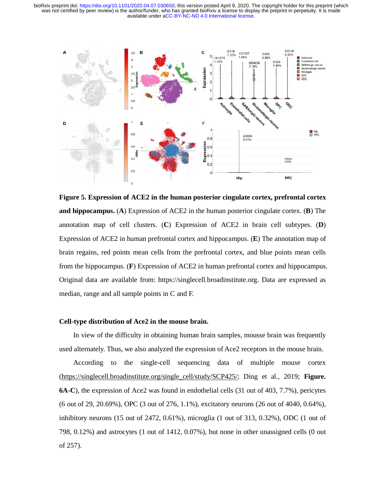

**Figure 5. Expression of ACE2 in the human posterior cingulate cortex, prefrontal cortex and hippocampus.** (**A**) Expression of ACE2 in the human posterior cingulate cortex. (**B**) The annotation map of cell clusters. (**C**) Expression of ACE2 in brain cell subtypes. (**D**) Expression of ACE2 in human prefrontal cortex and hippocampus. (**E**) The annotation map of brain regains, red points mean cells from the prefrontal cortex, and blue points mean cells from the hippocampus. (**F**) Expression of ACE2 in human prefrontal cortex and hippocampus. Original data are available from: https://singlecell.broadinstitute.org. Data are expressed as median, range and all sample points in C and F.

#### **Cell-type distribution of Ace2 in the mouse brain.**

In view of the difficulty in obtaining human brain samples, mousse brain was frequently used alternately. Thus, we also analyzed the expression of Ace2 receptors in the mouse brain.

According to the single-cell sequencing data of multiple mouse cortex (https://singlecell.broadinstitute.org/single\_cell/study/SCP425/; Ding et al., 2019; **Figure. 6A-C**), the expression of Ace2 was found in endothelial cells (31 out of 403, 7.7%), pericytes (6 out of 29, 20.69%), OPC (3 out of 276, 1.1%), excitatory neurons (26 out of 4040, 0.64%), inhibitory neurons  $(15 \text{ out of } 2472, 0.61\%)$ , microglia  $(1 \text{ out of } 313, 0.32\%)$ , ODC  $(1 \text{ out of } 2472, 0.61\%)$ 798, 0.12%) and astrocytes (1 out of 1412, 0.07%), but none in other unassigned cells (0 out of 257).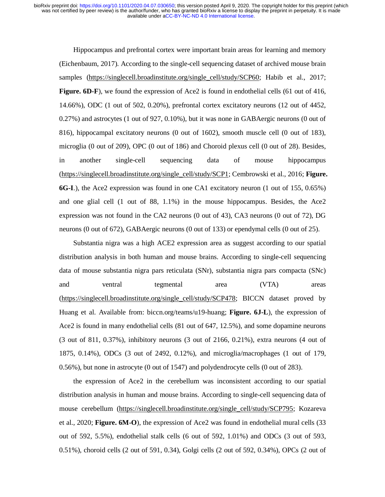Hippocampus and prefrontal cortex were important brain areas for learning and memory (Eichenbaum, 2017). According to the single-cell sequencing dataset of archived mouse brain samples (https://singlecell.broadinstitute.org/single\_cell/study/SCP60; Habib et al., 2017; **Figure. 6D-F**), we found the expression of Ace2 is found in endothelial cells (61 out of 416, 14.66%), ODC (1 out of 502, 0.20%), prefrontal cortex excitatory neurons (12 out of 4452, 0.27%) and astrocytes (1 out of 927, 0.10%), but it was none in GABAergic neurons (0 out of 816), hippocampal excitatory neurons (0 out of 1602), smooth muscle cell (0 out of 183), microglia (0 out of 209), OPC (0 out of 186) and Choroid plexus cell (0 out of 28). Besides, in another single-cell sequencing data of mouse hippocampus (https://singlecell.broadinstitute.org/single\_cell/study/SCP1; Cembrowski et al., 2016; **Figure. 6G-I**.), the Ace2 expression was found in one CA1 excitatory neuron (1 out of 155, 0.65%) and one glial cell (1 out of 88, 1.1%) in the mouse hippocampus. Besides, the Ace2 expression was not found in the CA2 neurons (0 out of 43), CA3 neurons (0 out of 72), DG neurons (0 out of 672), GABAergic neurons (0 out of 133) or ependymal cells (0 out of 25).

Substantia nigra was a high ACE2 expression area as suggest according to our spatial distribution analysis in both human and mouse brains. According to single-cell sequencing data of mouse substantia nigra pars reticulata (SNr), substantia nigra pars compacta (SNc) and ventral tegmental area (VTA) areas (https://singlecell.broadinstitute.org/single\_cell/study/SCP478; BICCN dataset proved by Huang et al. Available from: biccn.org/teams/u19-huang; **Figure. 6J-L**), the expression of Ace2 is found in many endothelial cells (81 out of 647, 12.5%), and some dopamine neurons (3 out of 811, 0.37%), inhibitory neurons (3 out of 2166, 0.21%), extra neurons (4 out of 1875, 0.14%), ODCs (3 out of 2492, 0.12%), and microglia/macrophages (1 out of 179, 0.56%), but none in astrocyte (0 out of 1547) and polydendrocyte cells (0 out of 283).

the expression of Ace2 in the cerebellum was inconsistent according to our spatial distribution analysis in human and mouse brains. According to single-cell sequencing data of mouse cerebellum (https://singlecell.broadinstitute.org/single\_cell/study/SCP795; Kozareva et al., 2020; **Figure. 6M-O**), the expression of Ace2 was found in endothelial mural cells (33 out of 592, 5.5%), endothelial stalk cells (6 out of 592, 1.01%) and ODCs (3 out of 593, 0.51%), choroid cells (2 out of 591, 0.34), Golgi cells (2 out of 592, 0.34%), OPCs (2 out of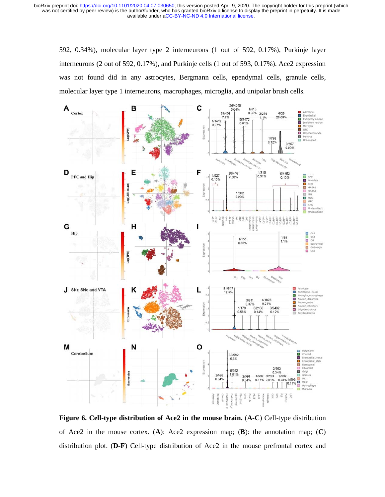592, 0.34%), molecular layer type 2 interneurons (1 out of 592, 0.17%), Purkinje layer interneurons (2 out of 592, 0.17%), and Purkinje cells (1 out of 593, 0.17%). Ace2 expression was not found did in any astrocytes, Bergmann cells, ependymal cells, granule cells, molecular layer type 1 interneurons, macrophages, microglia, and unipolar brush cells.



**Figure 6. Cell-type distribution of Ace2 in the mouse brain.** (**A-C**) Cell-type distribution of Ace2 in the mouse cortex. (**A**): Ace2 expression map; (**B**): the annotation map; (**C**) distribution plot. (**D-F**) Cell-type distribution of Ace2 in the mouse prefrontal cortex and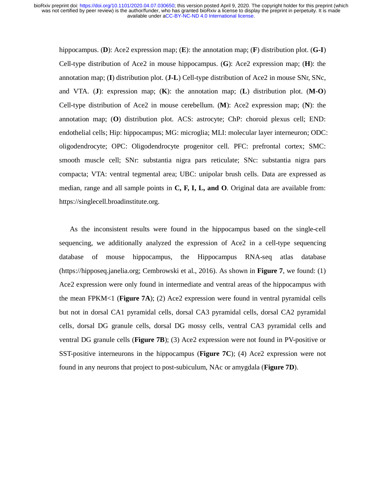hippocampus. (**D**): Ace2 expression map; (**E**): the annotation map; (**F**) distribution plot. (**G-I**) Cell-type distribution of Ace2 in mouse hippocampus. (**G**): Ace2 expression map; (**H**): the annotation map; (**I**) distribution plot. (**J-L**) Cell-type distribution of Ace2 in mouse SNr, SNc, and VTA. (**J**): expression map; (**K**): the annotation map; (**L**) distribution plot. (**M-O**) Cell-type distribution of Ace2 in mouse cerebellum. (**M**): Ace2 expression map; (**N**): the annotation map; (**O**) distribution plot. ACS: astrocyte; ChP: choroid plexus cell; END: endothelial cells; Hip: hippocampus; MG: microglia; MLI: molecular layer interneuron; ODC: oligodendrocyte; OPC: Oligodendrocyte progenitor cell. PFC: prefrontal cortex; SMC: smooth muscle cell; SNr: substantia nigra pars reticulate; SNc: substantia nigra pars compacta; VTA: ventral tegmental area; UBC: unipolar brush cells. Data are expressed as median, range and all sample points in **C, F, I, L, and O**. Original data are available from: https://singlecell.broadinstitute.org.

As the inconsistent results were found in the hippocampus based on the single-cell sequencing, we additionally analyzed the expression of Ace2 in a cell-type sequencing database of mouse hippocampus, the Hippocampus RNA-seq atlas database (https://hipposeq.janelia.org; Cembrowski et al., 2016). As shown in **Figure 7**, we found: (1) Ace2 expression were only found in intermediate and ventral areas of the hippocampus with the mean FPKM<1 (**Figure 7A**); (2) Ace2 expression were found in ventral pyramidal cells but not in dorsal CA1 pyramidal cells, dorsal CA3 pyramidal cells, dorsal CA2 pyramidal cells, dorsal DG granule cells, dorsal DG mossy cells, ventral CA3 pyramidal cells and ventral DG granule cells (**Figure 7B**); (3) Ace2 expression were not found in PV-positive or SST-positive interneurons in the hippocampus (**Figure 7C**); (4) Ace2 expression were not found in any neurons that project to post-subiculum, NAc or amygdala (**Figure 7D**).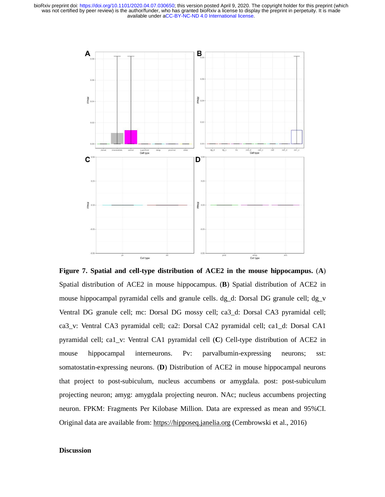

**Figure 7. Spatial and cell-type distribution of ACE2 in the mouse hippocampus.** (**A**) Spatial distribution of ACE2 in mouse hippocampus. (**B**) Spatial distribution of ACE2 in mouse hippocampal pyramidal cells and granule cells. dg\_d: Dorsal DG granule cell; dg\_v Ventral DG granule cell; mc: Dorsal DG mossy cell; ca3\_d: Dorsal CA3 pyramidal cell; ca3\_v: Ventral CA3 pyramidal cell; ca2: Dorsal CA2 pyramidal cell; ca1\_d: Dorsal CA1 pyramidal cell; ca1\_v: Ventral CA1 pyramidal cell (**C**) Cell-type distribution of ACE2 in mouse hippocampal interneurons. Pv: parvalbumin-expressing neurons; sst: somatostatin-expressing neurons. (**D**) Distribution of ACE2 in mouse hippocampal neurons that project to post-subiculum, nucleus accumbens or amygdala. post: post-subiculum projecting neuron; amyg: amygdala projecting neuron. NAc; nucleus accumbens projecting neuron. FPKM: Fragments Per Kilobase Million. Data are expressed as mean and 95%CI. Original data are available from: https://hipposeq.janelia.org (Cembrowski et al., 2016)

## **Discussion**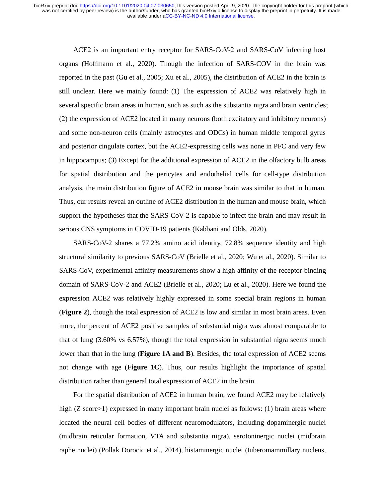ACE2 is an important entry receptor for SARS-CoV-2 and SARS-CoV infecting host organs (Hoffmann et al., 2020). Though the infection of SARS-COV in the brain was reported in the past (Gu et al., 2005; Xu et al., 2005), the distribution of ACE2 in the brain is still unclear. Here we mainly found: (1) The expression of ACE2 was relatively high in several specific brain areas in human, such as such as the substantia nigra and brain ventricles; (2) the expression of ACE2 located in many neurons (both excitatory and inhibitory neurons) and some non-neuron cells (mainly astrocytes and ODCs) in human middle temporal gyrus and posterior cingulate cortex, but the ACE2-expressing cells was none in PFC and very few in hippocampus; (3) Except for the additional expression of ACE2 in the olfactory bulb areas for spatial distribution and the pericytes and endothelial cells for cell-type distribution analysis, the main distribution figure of ACE2 in mouse brain was similar to that in human. Thus, our results reveal an outline of ACE2 distribution in the human and mouse brain, which support the hypotheses that the SARS-CoV-2 is capable to infect the brain and may result in serious CNS symptoms in COVID-19 patients (Kabbani and Olds, 2020).

SARS-CoV-2 shares a 77.2% amino acid identity, 72.8% sequence identity and high structural similarity to previous SARS-CoV (Brielle et al., 2020; Wu et al., 2020). Similar to SARS-CoV, experimental affinity measurements show a high affinity of the receptor-binding domain of SARS-CoV-2 and ACE2 (Brielle et al., 2020; Lu et al., 2020). Here we found the expression ACE2 was relatively highly expressed in some special brain regions in human (**Figure 2**), though the total expression of ACE2 is low and similar in most brain areas. Even more, the percent of ACE2 positive samples of substantial nigra was almost comparable to that of lung (3.60% vs 6.57%), though the total expression in substantial nigra seems much lower than that in the lung (**Figure 1A and B**). Besides, the total expression of ACE2 seems not change with age (**Figure 1C**). Thus, our results highlight the importance of spatial distribution rather than general total expression of ACE2 in the brain.

For the spatial distribution of ACE2 in human brain, we found ACE2 may be relatively high (Z score>1) expressed in many important brain nuclei as follows: (1) brain areas where located the neural cell bodies of different neuromodulators, including dopaminergic nuclei (midbrain reticular formation, VTA and substantia nigra), serotoninergic nuclei (midbrain raphe nuclei) (Pollak Dorocic et al., 2014), histaminergic nuclei (tuberomammillary nucleus,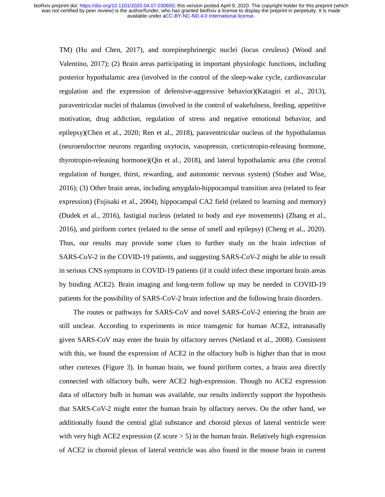TM) (Hu and Chen, 2017), and norepinephrinergic nuclei (locus ceruleus) (Wood and Valentino, 2017); (2) Brain areas participating in important physiologic functions, including posterior hypothalamic area (involved in the control of the sleep-wake cycle, cardiovascular regulation and the expression of defensive-aggressive behavior)(Katagiri et al., 2013), paraventricular nuclei of thalamus (involved in the control of wakefulness, feeding, appetitive motivation, drug addiction, regulation of stress and negative emotional behavior, and epilepsy)(Chen et al., 2020; Ren et al., 2018), paraventricular nucleus of the hypothalamus (neuroendocrine neurons regarding oxytocin, vasopressin, corticotropin-releasing hormone, thyrotropin-releasing hormone)(Qin et al., 2018), and lateral hypothalamic area (the central regulation of hunger, thirst, rewarding, and autonomic nervous system) (Stuber and Wise, 2016); (3) Other brain areas, including amygdalo-hippocampal transition area (related to fear expression) (Fujisaki et al., 2004), hippocampal CA2 field (related to learning and memory) (Dudek et al., 2016), fastigial nucleus (related to body and eye movements) (Zhang et al., 2016), and piriform cortex (related to the sense of smell and epilepsy) (Cheng et al., 2020). Thus, our results may provide some clues to further study on the brain infection of SARS-CoV-2 in the COVID-19 patients, and suggesting SARS-CoV-2 might be able to result in serious CNS symptoms in COVID-19 patients (if it could infect these important brain areas by binding ACE2). Brain imaging and long-term follow up may be needed in COVID-19 patients for the possibility of SARS-CoV-2 brain infection and the following brain disorders.

The routes or pathways for SARS-CoV and novel SARS-CoV-2 entering the brain are still unclear. According to experiments in mice transgenic for human ACE2, intranasally given SARS-CoV may enter the brain by olfactory nerves (Netland et al., 2008). Consistent with this, we found the expression of ACE2 in the olfactory bulb is higher than that in most other cortexes (Figure 3). In human brain, we found piriform cortex, a brain area directly connected with olfactory bulb, were ACE2 high-expression. Though no ACE2 expression data of olfactory bulb in human was available, our results indirectly support the hypothesis that SARS-CoV-2 might enter the human brain by olfactory nerves. On the other hand, we additionally found the central glial substance and choroid plexus of lateral ventricle were with very high ACE2 expression  $(Z \text{ score} > 5)$  in the human brain. Relatively high expression of ACE2 in choroid plexus of lateral ventricle was also found in the mouse brain in current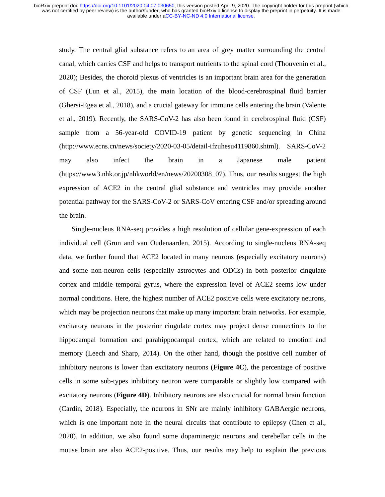study. The central glial substance refers to an area of grey matter surrounding the central canal, which carries CSF and helps to transport nutrients to the spinal cord (Thouvenin et al., 2020); Besides, the choroid plexus of ventricles is an important brain area for the generation of CSF (Lun et al., 2015), the main location of the blood-cerebrospinal fluid barrier (Ghersi-Egea et al., 2018), and a crucial gateway for immune cells entering the brain (Valente et al., 2019). Recently, the SARS-CoV-2 has also been found in cerebrospinal fluid (CSF) sample from a 56-year-old COVID-19 patient by genetic sequencing in China (http://www.ecns.cn/news/society/2020-03-05/detail-ifzuhesu4119860.shtml). SARS-CoV-2 may also infect the brain in a Japanese male patient (https://www3.nhk.or.jp/nhkworld/en/news/20200308\_07). Thus, our results suggest the high expression of ACE2 in the central glial substance and ventricles may provide another potential pathway for the SARS-CoV-2 or SARS-CoV entering CSF and/or spreading around the brain.

Single-nucleus RNA-seq provides a high resolution of cellular gene-expression of each individual cell (Grun and van Oudenaarden, 2015). According to single-nucleus RNA-seq data, we further found that ACE2 located in many neurons (especially excitatory neurons) and some non-neuron cells (especially astrocytes and ODCs) in both posterior cingulate cortex and middle temporal gyrus, where the expression level of ACE2 seems low under normal conditions. Here, the highest number of ACE2 positive cells were excitatory neurons, which may be projection neurons that make up many important brain networks. For example, excitatory neurons in the posterior cingulate cortex may project dense connections to the hippocampal formation and parahippocampal cortex, which are related to emotion and memory (Leech and Sharp, 2014). On the other hand, though the positive cell number of inhibitory neurons is lower than excitatory neurons (**Figure 4C**), the percentage of positive cells in some sub-types inhibitory neuron were comparable or slightly low compared with excitatory neurons (**Figure 4D**). Inhibitory neurons are also crucial for normal brain function (Cardin, 2018). Especially, the neurons in SNr are mainly inhibitory GABAergic neurons, which is one important note in the neural circuits that contribute to epilepsy (Chen et al., 2020). In addition, we also found some dopaminergic neurons and cerebellar cells in the mouse brain are also ACE2-positive. Thus, our results may help to explain the previous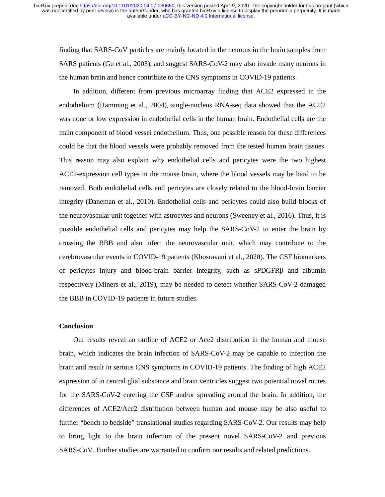finding that SARS-CoV particles are mainly located in the neurons in the brain samples from SARS patients (Gu et al., 2005), and suggest SARS-CoV-2 may also invade many neurons in the human brain and hence contribute to the CNS symptoms in COVID-19 patients.

In addition, different from previous microarray finding that ACE2 expressed in the endothelium (Hamming et al., 2004), single-nucleus RNA-seq data showed that the ACE2 was none or low expression in endothelial cells in the human brain. Endothelial cells are the main component of blood vessel endothelium. Thus, one possible reason for these differences could be that the blood vessels were probably removed from the tested human brain tissues. This reason may also explain why endothelial cells and pericytes were the two highest ACE2-expression cell types in the mouse brain, where the blood vessels may be hard to be removed. Both endothelial cells and pericytes are closely related to the blood-brain barrier integrity (Daneman et al., 2010). Endothelial cells and pericytes could also build blocks of the neurovascular unit together with astrocytes and neurons (Sweeney et al., 2016). Thus, it is possible endothelial cells and pericytes may help the SARS-CoV-2 to enter the brain by crossing the BBB and also infect the neurovascular unit, which may contribute to the cerebrovascular events in COVID-19 patients (Khosravani et al., 2020). The CSF biomarkers of pericytes injury and blood-brain barrier integrity, such as sPDGFRβ and albumin respectively (Miners et al., 2019), may be needed to detect whether SARS-CoV-2 damaged the BBB in COVID-19 patients in future studies.

## **Conclusion**

Our results reveal an outline of ACE2 or Ace2 distribution in the human and mouse brain, which indicates the brain infection of SARS-CoV-2 may be capable to infection the brain and result in serious CNS symptoms in COVID-19 patients. The finding of high ACE2 expression of in central glial substance and brain ventricles suggest two potential novel routes for the SARS-CoV-2 entering the CSF and/or spreading around the brain. In addition, the differences of ACE2/Ace2 distribution between human and mouse may be also useful to further "bench to bedside" translational studies regarding SARS-CoV-2. Our results may help to bring light to the brain infection of the present novel SARS-CoV-2 and previous SARS-CoV. Further studies are warranted to confirm our results and related predictions.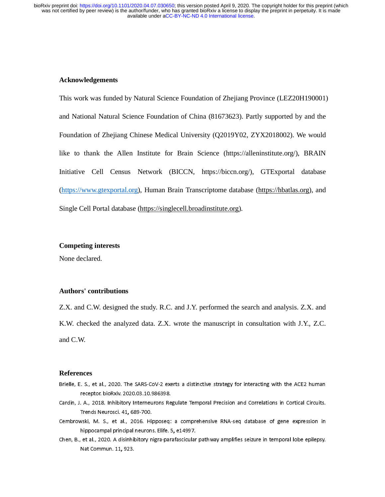## **Acknowledgements**

This work was funded by Natural Science Foundation of Zhejiang Province (LEZ20H190001) and National Natural Science Foundation of China (81673623). Partly supported by and the Foundation of Zhejiang Chinese Medical University (Q2019Y02, ZYX2018002). We would like to thank the Allen Institute for Brain Science (https://alleninstitute.org/), BRAIN Initiative Cell Census Network (BICCN, https://biccn.org/), GTExportal database (https://www.gtexportal.org), Human Brain Transcriptome database (https://hbatlas.org), and Single Cell Portal database (https://singlecell.broadinstitute.org).

## **Competing interests**

None declared.

## **Authors' contributions**

Z.X. and C.W. designed the study. R.C. and J.Y. performed the search and analysis. Z.X. and K.W. checked the analyzed data. Z.X. wrote the manuscript in consultation with J.Y., Z.C. and C.W.

## **References**

- 
- Brield, E. S., et al., 2020. The SARS-Core in the SARS-Core interacting with the ACE2 human<br>Cardin, J. A., 2018. Inhibitory Interneurons Regulate Temporal Precision and Correlations in Cortical Circuits.<br>Trends Neurosci. 4 receptor. biolitary interneurons Referrals Neurosci. 41, 689-700.<br>Trends Neurosci. 41, 689-700.<br>vski, M. S., et al., 2016. Hipposeq:<br>hippocampal principal neurons. Elife. 5<br>et al., 2020. A disinhibitory nigra-par<br>Nat Commu
- 
- Cardin, J. A., 2018. Inhibitor, Machineurons Regulate Temporal Correlation and Correlation in Trends Neurosci. 41, 689-700.<br>Cembrowski, M. S., et al., 2016. Hipposeq: a comprehensive RNA-seq database of gene expression in Trends Neurosci. 41, 689-700.<br>vski, M. S., et al., 2016. Hij<br>hippocampal principal neurons<br>et al., 2020. A disinhibitory n<br>Nat Commun. 11, 923. hippocampal principal neurons. Elife. 5, e14997.<br>Chen, B., et al., 2020. A disinhibitory nigra-parafascicular pathway amplifies seizure in temporal lobe epilepsy.<br>Nat Commun. 11, 923. hippocampal principal neurons. Elife. 5, e14997.<br>et al., 2020. A disinhibitory nigra-parafascicular<br>Nat Commun. 11, 923. Nat. Commun. 11, 923. A disinhibitory nigra-pathway amplifies seizure in temporal lobe epilepsy. A discrete epilepsy. A discrete epilepsy. A discrete epilepsy. A discrete epilepsy. A discrete epilepsy. A discrete epilepsy. Nat Commun. 11, 923.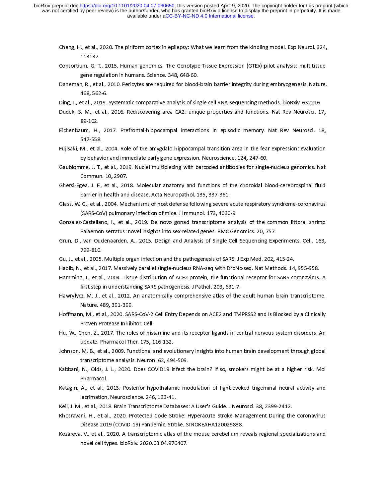- 
- Cheng, H., et al., 2020. The piritorm cortex in epilepsy: What we learn from the Kindling model. Exp Neurol. 324,<br>113137.<br>Consortium, G. T., 2015. Human genomics. The Genotype-Tissue Expression (GTEx) pilot analysis: multi 113137.<br>
Consortium, G. T., 2015. Human genomics. The Genotype-Tissue Expression (GTEx) pilot analysis: multitissue<br>
gene regulation in humans. Science. 348, 648-60.<br>
Daneman, R., et al., 2010. Pericytes are required for b
- Experience and Science. 348, 648-60.<br>Constants are required for blood-brain barrier integrity during embryogenesis. Nature.<br>468, 562-6.<br>Ding, J., et al., 2019. Systematic comparative analysis of single cell RNA-sequencing gene regulation in humans. Science. 348, 648-60.<br>1, R., et al., 2010. Pericytes are required for blood<br>468, 562-6.<br>et al., 2019. Systematic comparative analysis of sin<br>i. M., et al., 2016. Rediscovering area CA2: uniq<br>89-1
- 
- 
- 2019, 468, 562-6.<br>Ding, J., et al., 2019. Systematic comparative analysis of single cell RNA-sequencing methods. bioRxiv. 632216.<br>Dudek, S. M., et al., 2016. Rediscovering area CA2: unique properties and functions. Nat Rev 468, 562-6.<br>et al., 2019.<br>i. M., et al.,<br>89-102.<br>um, H., 20<br>547-558.<br>M., et al., 2 Dudek, S. M., et al., 2016. Rediscovering area CA2: unique properties and functions. Nat Rev Neurosci. 17<br>89-102.<br>Eichenbaum, H., 2017. Prefrontal-hippocampal interactions in episodic memory. Nat Rev Neurosci. 18<br>547-558.<br> Dudek, S. M., et al., 2016. Rediscovering area CA2: unique properties and functions. Nat Rev Neurosci. 17,<br>89-102.<br>Eichenbaum, H., 2017. Prefrontal-hippocampal interactions in episodic memory. Nat Rev Neurosci. 18,<br>547-558 -- ---<br>|um, H.,<br>547-558<br>M., et a<br>by beha<br>|me, J. T<br>Commul
- 
- Eichenbaum, H., 2017. Prefrontal-hippocampal interactions in episodic memory. Nat Rev Neurosci. 18,<br>547-558.<br>Fujisaki, M., et al., 2004. Role of the amygdalo-hippocampal transition area in the fear expression: evaluation<br>b M., et al.,<br>M., et al.,<br>by behavi<br>ime, J. T.,<br>Commun<br>gea, J. F.,<br>barrier in Fugition, M., 2019. In the amygene expression. Neuroscience. 124, 247-60.<br>
Gaublomme, J. T., et al., 2019. Nuclei multiplexing with barcoded antibodies for single-nucleus genomics. Nat<br>
Commun. 10, 2907.<br>
Ghersi-Egea, J. F by behavior and immediate early gene expression. Neuroscience. 124, 247-60.<br>Ime, J. T., et al., 2019. Nuclei multiplexing with barcoded antibodies for single<br>Commun. 10, 2907.<br>Jea, J. F., et al., 2018. Molecular anatomy an
- 
- Gaussi-Egea, J. F., et al., 2018. Molecular anatomy and functions of the choroidal blood-cerebrospinal fluid<br>Gauss, W. G., et al., 2018. Molecular anatomy and functions of the choroidal blood-cerebrospinal fluid<br>Glass, W. Commun. 10, 2907.<br>gea, J. F., et al., 201<br>barrier in health and<br>G., et al., 2004. Med<br>(SARS-CoV) pulmona<br>-Castellano, I., et a<br>Palaemon serratus: I
- Ghass, W. G., et al., 2004. Mechanisms of host defense following severe acute respiratory syndrome-coronavirus<br>Glass, W. G., et al., 2004. Mechanisms of host defense following severe acute respiratory syndrome-coronavirus<br> barrier in health and disease. Acta Neuropathol. 135, 337-361.<br>G., et al., 2004. Mechanisms of host defense following severe a<br>(SARS-CoV) pulmonary infection of mice. J Immunol. 173, 4030<br>-Castellano, I., et al., 2019. De (SARS-CoV) pulmonary infection of mice. J Immunol. 173, 4030-9.<br>Gonzalez-Castellano, I., et al., 2019. De novo gonad transcriptome analysis of the common littoral shrimp<br>Palaemon serratus: novel insights into sex-related g (SARS-CoV) pulmonary infection of mice. J Immunol. 173, 4030-9.<br>-Castellano, I., et al., 2019. De novo gonad transcriptome anal<br>Palaemon serratus: novel insights into sex-related genes. BMC Ger<br>. van Oudenaarden, A., 2015.
- Falaemon serratus: novel insights into sex-related genes. BMC Genomics. 20, 757.<br>Grun, D., van Oudenaarden, A., 2015. Design and Analysis of Single-Cell Sequencing Experiments. Cell. 163,<br>799-810.<br>Gu, J., et al., 2005. Mul Palaemon serratus: novel insights into sex-related genes. BMC Genomics. 20, 757.<br>
2015 - Van Oudenaarden, A., 2015. Design and Analysis of Single-Cell Sequencing Exp.<br>
799-810.<br>
2005. Multiple organ infection and the patho
- 
- 
- Grun, D., van Oudenaarden, A., 2015. Design and Analysis of Single-Cell Sequencing Experiments. Cell. 163,<br>799-810.<br>Gu, J., et al., 2005. Multiple organ infection and the pathogenesis of SARS. J Exp Med. 202, 415-24.<br>Habib Gu, J., et al., 2005. Multiple organ infection and the pathogenesis of SARS. J Exp Med. 202, 415-24.<br>Habib, N., et al., 2017. Massively parallel single-nucleus RNA-seq with DroNc-seq. Nat Methods. 14, 955-958.<br>Hamming, I.,
- Gu, J., et al., 2005. Multiple organ infection and the pathogenesis of SARS. J Exp Med. 202, 415-24.<br>Habib, N., et al., 2017. Massively parallel single-nucleus RNA-seq with DroNc-seq. Nat Methods. 14,<br>Hamming, I., et al., Habib, N., et al., 2017. Massively parallel single-nucleus RNA-seq with DroNc-seq. Nat Methods. 14, 955-958.<br>Hamming, I., et al., 2004. Tissue distribution of ACE2 protein, the functional receptor for SARS coronavirus.<br>fir Hawrylycz, M. J., et al., 2012. An anatomically comprehensive atlas of the adult human brain transcriptome.<br>Nature. 489, 391-399.<br>Hoffmann, M., et al., 2020. SARS-CoV-2 Cell Entry Depends on ACE2 and TMPRSS2 and Is Blocked first step in understanding SARS pathogenesis. J Pathol. 203, 631-7.<br>12, M. J., et al., 2012. An anatomically comprehensive atlas of the<br>Nature. 489, 391-399.<br>n, M., et al., 2020. SARS-CoV-2 Cell Entry Depends on ACE2 and
- Hoffmann, M., et al., 2020. SARS-CoV-2 Cell Entry Depends on ACE2 and TMPRSS2 and Is Blocked by a Clinically<br>Proven Protease Inhibitor. Cell.<br>Hu, W., Chen, Z., 2017. The roles of histamine and its receptor ligands in centr Nature. 489, 391-399.<br>n, M., et al., 2020. SAR<br>Proven Protease Inhibi<br>:hen, Z., 2017. The role<br>update. Pharmacol The<br>M. B., et al., 2009. Fur<br>transcriptome analysis
- Proven Proven Proven Provideo Pharmacol Ther. 175, 1<br>
M. B., et al., 2009. Functional a<br>
transcriptome analysis. Neuron<br>
N., Olds, J. L., 2020. Does CO<br>
Pharmacol.
- Froven Protease Inhibitor. Cell.<br>Hu, W., Chen, Z., 2017. The roles of histamine and its receptor ligands in central nervous system disorders: An<br>update. Pharmacol Ther. 175, 116-132.<br>Johnson, M. B., et al., 2009. Functiona update. Pharmacol Ther. 175, 116-132.<br>M. B., et al., 2009. Functional and evolutranscriptome analysis. Neuron. 62, 494<br>N., Olds, J. L., 2020. Does COVID19 ir<br>Pharmacol.<br>A., et al., 2013. Posterior hypothalam<br>lacrimation. N
- update. Pharmacol Ther. 175, 116-132.<br>Johnson, M. B., et al., 2009. Functional and evolutionary insights into human brain development through global<br>transcriptome analysis. Neuron. 62, 494-509.<br>Kabbani, N., Olds, J. L., 20
- Francein, M. B., et al., 2020. Does COVID19 infect the brain? If so, smokers might be at a higher risk. Mol<br>Pharmacol.<br>Katagiri, A., et al., 2013. Posterior hypothalamic modulation of light-evoked trigeminal neural activit transcriptome analysis. Neuron. 62, 494-509.<br>N., Olds, J. L., 2020. Does COVID19 infect t<br>Pharmacol.<br>A., et al., 2013. Posterior hypothalamic mo<br>lacrimation. Neuroscience. 246, 133-41.<br>., et al., 2018. Brain Transcriptome Pharmacol.<br>Katagiri, A., et al., 2013. Posterior hypothalamic modulation of light-evoked trigeminal neural activity and<br>Iacrimation. Neuroscience. 246, 133-41.<br>Keil, J. M., et al., 2018. Brain Transcriptome Databases: A Us Pharmacol.<br>
Katagiri, A., et al., 2013. Posterior hypothalamic modulation of light-evoked trigeminal neural activity and<br>
lacrimation. Neuroscience. 246, 133-41.<br>
Keil, J. M., et al., 2018. Brain Transcriptome Databases: A
- 
- Example 19. Here is the trigent of light-evoked trigent and the light-evoked trigent of light-evoked trigent of light-evoked trigent of light-evoked trigent parameters.<br>
Keil, J. M., et al., 2018. Brain Transcriptome Datab Keil, J. M., et al., 2018. Brain Transcriptome Databases: A User's Guide. J Neurosci. 38, 2399-2412.<br>Khosravani, H., et al., 2020. Protected Code Stroke: Hyperacute Stroke Management During the<br>Disease 2019 (COVID-19) Pand
- Keil, J. M., et al., 2018. Brain Transcriptome Databases: A User's Guide. J Neurosci. 38, 2399-2412.<br>Khosravani, H., et al., 2020. Protected Code Stroke: Hyperacute Stroke Management During the<br>Disease 2019 (COVID-19) Pand Disease 2019 (COVID-19) Pandemic. Stroke. STROKEAHA120029838.<br>Kozareva, V., et al., 2020. A transcriptomic atlas of the mouse cerebellum reveals regional specializations and<br>novel cell types. bioRxiv. 2020.03.04.976407. Disease 2019 (COVID-19) Pandemic at the Contract of the monder of the New York, N., et al., 2020. A transcriptomic atlas of the monse cerebellum reprovel cell types. bioRxiv. 2020.03.04.976407. Kozareva, V., et al., 2020. A transcriptories at the movel cell types. bioRxiv. 2020.03.04.976407. novel cell types. bioRxiv. 2020.03.04.976407.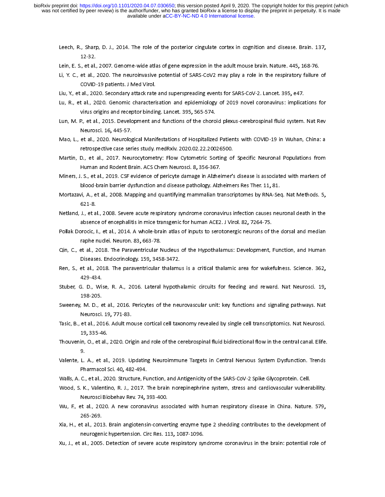- 
- 
- Leech, R., Sharp, D. J., 2014. The role of the posterior cingulate cortex in cognition and disease. Brain. 137,<br>12-32.<br>Lein, E. S., et al., 2007. Genome-wide atlas of gene expression in the adult mouse brain. Nature. 445, ., et al.,<br>et al.,<br>COVID-<br>al., 20.<br>t al., 21 Lein, E. S., et al., 2007. Genome-wide atlas of gene expression in the adult mouse brain. Nature. 445, 168-76.<br>Li, Y. C., et al., 2020. The neuroinvasive potential of SARS-CoV2 may play a role in the respiratory failure<br>CO
- 
- 
- COVID-19 patients. J Med Virol.<br>Liu, Y., et al., 2020. Secondary attack rate and superspreading events for SARS-CoV-2. Lancet. 395, e47.<br>Lu, R., et al., 2020. Genomic characterisation and epidemiology of 2019 novel coronav al., 2020. Secondary attack rate<br>
t al., 2020. Genomic characteri<br>
virus origins and receptor bindir<br>
P., et al., 2015. Development an<br>
Neurosci. 16, 445-57.<br>
et al., 2020. Neurological Mani Liu, Y., et al., 2020. Secondary attack rate and superspreading events for SARS-CoV-2. Lancet. 395, e47.<br>Lu, R., et al., 2020. Genomic characterisation and epidemiology of 2019 novel coronavirus: implica<br>virus origins and
- Virus origins and receptor binding. Lancet. 395, 565-574.<br>
Lun, M. P., et al., 2015. Development and functions of the choroid plexus-cerebrospinal fluid system. Nat Rev<br>
Neurosci. 16, 445-57.<br>
Mao, L., et al., 2020. Neurol virus origins and receptor binding. Lancet. 395, 565-574.<br>P., et al., 2015. Development and functions of the choro<br>Neurosci. 16, 445-57.<br>et al., 2020. Neurological Manifestations of Hospitalized<br>retrospective case series s Nun, M. P., et al., 2020. Neurological Manifestations of Hospitalized Patients with COVID-19 in Wuhan, China: a<br>retrospective case series study. medRxiv. 2020.02.22.20026500.<br>Martin, D., et al., 2017. Neurocytometry: Flow Neurosci. 16, 445-57.<br>et al., 2020. Neurolog<br>retrospective case ser<br>D., et al., 2017. Neu<br>Human and Rodent Br<br>. S., et al., 2019. CSF e<br>blood-brain barrier dy
- Martin, D., et al., 2017. Neurocytometry: Flow Cytometric Sorting of Specific Neuronal Populations from<br>Human and Rodent Brain. ACS Chem Neurosci. 8, 356-367.<br>Miners, J. S., et al., 2019. CSF evidence of pericyte damage in retrospective case, then, the study. The Waytometric Sorting of<br>D., et al., 2017. Neurocytometry: Flow Cytometric Sorting of<br>Human and Rodent Brain. ACS Chem Neurosci. 8, 356-367.<br>S., et al., 2019. CSF evidence of pericyte
- 
- Martin, Martin, D., Human and Rodent Brain. ACS Chem Neurosci. 8, 356-367.<br>
Miners, J. S., et al., 2019. CSF evidence of pericyte damage in Alzheimer's disease is associated with markers of<br>
blood-brain barrier dysfunction Human and Rodent Brain. ACS Chem Neurosci. 8, 356-367.<br>. S., et al., 2019. CSF evidence of pericyte damage in Alzhei<br>blood-brain barrier dysfunction and disease pathology. Alzh<br>i, A., et al., 2008. Mapping and quantifying Miners, J. S., et al., 2019. CSF evidence of pericyte damage in Alzheimer's disease is associated with markers of<br>blood-brain barrier dysfunction and disease pathology. Alzheimers Res Ther. 11, 81.<br>Mortazavi, A., et al., 2 blood-brain barrier dystunction and disease pathology. Alzheimers Res Ther. 11, 81.<br>vi, A., et al., 2008. Mapping and quantifying mammalian transcriptomes by RNA-Sec<br>621-8.<br>J., et al., 2008. Severe acute respiratory syndro
- Mortazavi, A., et al., 2008. Mapping and quantifying mammalian transcriptomes by RNA-Seq. Nat Methods. 5,<br>621-8.<br>Netland, J., et al., 2008. Severe acute respiratory syndrome coronavirus infection causes neuronal death in t
- Pollak Dorocic, I., et al., 2014. A whole-brain atlas of inputs to serotonergic neurons of the dorsal and median
- 621-8.<br>
Netland, J., et al., 2008. Severe acute respiratory syndrome coronavirus infection causes neuronal death in the<br>
absence of encephalitis in mice transgenic for human ACE2. J Virol. 82, 7264-75.<br>
Pollak Dorocic, I., absence of encephalitis in mice transgenic for human ACE2. J Virol. 82, 7264-75.<br>procic, I., et al., 2014. A whole-brain atlas of inputs to serotonergic neurons of t<br>raphe nuclei. Neuron. 83, 663-78.<br>et al., 2018. The Para raphe nuclei. Neuron. 83, 663-78.<br>et al., 2018. The Paraventricular N<br>Diseases. Endocrinology. 159, 345:<br>et al., 2018. The paraventricular<br>429-434.<br>5. D., Wise, R. A., 2016. Lateral<br>198-205.
- Ren, S., et al., 2018. The paraventricular thalamus is a critical thalamic area for wakefulness. Science. 362,<br>429-434. Diseases. Endocrinology. 159, 3458-3472.<br>
Ren, S., et al., 2018. The paraventricular thalamus is a critical thalamic area for wakefulness. Science. 362,<br>
429-434.<br>
Stuber, G. D., Wise, R. A., 2016. Lateral hypothalamic cir Diseases. Endocrinology. 159, 3458-3472.<br>et al., 2018. The paraventricular thalamu<br>429-434.<br>5. D., Wise, R. A., 2016. Lateral hypoth<br>198-205.<br>, M. D., et al., 2016. Pericytes of the neu<br>Neurosci. 19, 771-83.
- 3. D., Wi:<br>3. D., Wi:<br>198-205.<br>, M. D., e<br>Neurosci.<br>et al., 20<br>19, 335-4
- Ren, S., et al., 2018. The paraventricular thalamus is a critical thalamic area for wakefulness. Science. 362,<br>429-434.<br>Stuber, G. D., Wise, R. A., 2016. Lateral hypothalamic circuits for feeding and reward. Nat Neurosci. Stuber, G. D., Wise, R. A., 2016. Lateral hypothalamic circuits for feeding and reward. Nat Neurosci. 19,<br>198-205.<br>Sweeney, M. D., et al., 2016. Pericytes of the neurovascular unit: key functions and signaling pathways. Na
- 198-205.<br>
Sweeney, M. D., et al., 2016. Pericytes of the neurovascular unit: key functions and signaling pathways. Nat<br>
Neurosci. 19, 771-83.<br>
Tasic, B., et al., 2016. Adult mouse cortical cell taxonomy revealed by single
- Sweeney, Meurosci. 19, 771-83.<br>
Sweeney, Meurosci. 19, 771-83.<br>
Sweet al., 2016. Adult mouse cortical cell taxonomy revealed by single cell transcriptomics. Nat Neurosci.<br>
19, 335-46.<br>
Thouvenin, O., et al., 2020. Origin a Neurosci. 19, 771-83.<br>et al., 2016. Adult mo<br>19, 335-46.<br>in, O., et al., 2020. Ori<sub>!</sub><br>9.<br>L. A., et al., 2019. U<br>Pharmacol Sci. 40, 483 Thouvenin, O., et al., 2020. Origin and role of the cerebrospinal fluid bidirectional flow in the central canal. Elife.<br>9.<br>Valente, L. A., et al., 2019. Updating Neuroimmune Targets in Central Nervous System Dysfunction. T 19, 335-46.<br>in, O., et al.,<br>9.<br>L. A., et al.<br>Pharmacol S.<br>C., et al., 20<br>. K., Valentii
- Thouven in the central Nervous System Dysfunction. Trends<br>Tharmacol Sci. 40, 482-494.<br>Walls, A. C., et al., 2020. Structure, Function, and Antigenicity of the SARS-CoV-2 Spike Glycoprotein. Cell.<br>Wood, S. K., Valentino, R. U.Ph C.,<br>Net
- 
- Pharmacol Sci. 40, 482-494.<br>Walls, A. C., et al., 2020. Structure, Function, and Antigenicity of the SARS-CoV-2 Spike Glycoprotein. Cell.<br>Wood, S. K., Valentino, R. J., 2017. The brain norepinephrine system, stress and car Pharmacol Sci. 40, 482-494.<br>C., et al., 2020. Structure, Fu.<br>K., Valentino, R. J., 2017. 1<br>Neurosci Biobehav Rev. 74, 3<br>et al., 2020. A new coronav<br>265-269.<br>t al., 2013. Brain angiotensi Wood, S. K., Valentino, R. J., 2017. The brain norepinephrine system, stress and cardiovascular vulners<br>Neurosci Biobehav Rev. 74, 393-400.<br>Wu, F., et al., 2020. A new coronavirus associated with human respiratory disease
- Wood, S. K., Valentino, R. J., 2017. The brain norepinephrine system, stress and cardiovascular vulnerability.<br>Neurosci Biobehav Rev. 74, 393-400.<br>Wu, F., et al., 2020. A new coronavirus associated with human respiratory d Neurosci Biobehav Rev. 74, 393-400.<br>265-269.<br>265-269.<br>The al., 2013. Brain angiotensin-converneurogenic hypertension. Circ Res. 1:<br>al., 2005. Detection of severe acute
- Wu, F., et al., 2020. A new coronavirus associated with human respiratory disease in China. Nature. 579,<br>265-269.<br>Xia, H., et al., 2013. Brain angiotensin-converting enzyme type 2 shedding contributes to the development of t al., 201<br>neurogen<br>al., 2005<br>. Nia, H., et al., 2005. Detection of severe acute respiratory syndrome coronavirus in the brain: potential role of<br>Xu, J., et al., 2005. Detection of severe acute respiratory syndrome coronavirus in the brain: potential rol
- neurogenic hypertension. Circ Res. 113, 1087-1096.<br>al., 2005. Detection of severe acute respiratory syn<br>...<br>... Xu, J., et al., 2005. Detection of severe acute respiratory syndrome coronavirus in the brain: potential role of